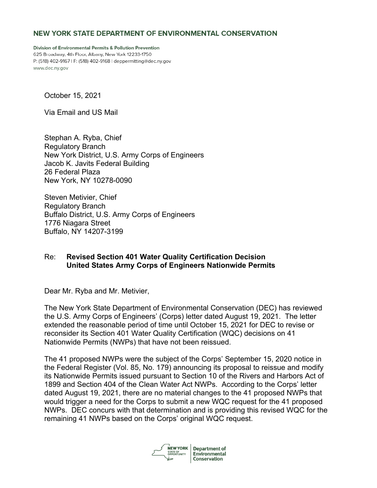### **NEW YORK STATE DEPARTMENT OF ENVIRONMENTAL CONSERVATION**

Division of Environmental Permits & Pollution Prevention 625 Broadway, 4th Floor, Albany, New York 12233-1750 P: (518) 402-9167 | F: (518) 402-9168 | deppermitting@dec.ny.gov www.dec.ny.gov

October 15, 2021

Via Email and US Mail

Stephan A. Ryba, Chief Regulatory Branch New York District, U.S. Army Corps of Engineers Jacob K. Javits Federal Building 26 Federal Plaza New York, NY 10278-0090

Steven Metivier, Chief Regulatory Branch Buffalo District, U.S. Army Corps of Engineers 1776 Niagara Street Buffalo, NY 14207-3199

### Re: **Revised Section 401 Water Quality Certification Decision United States Army Corps of Engineers Nationwide Permits**

Dear Mr. Ryba and Mr. Metivier,

The New York State Department of Environmental Conservation (DEC) has reviewed the U.S. Army Corps of Engineers' (Corps) letter dated August 19, 2021. The letter extended the reasonable period of time until October 15, 2021 for DEC to revise or reconsider its Section 401 Water Quality Certification (WQC) decisions on 41 Nationwide Permits (NWPs) that have not been reissued.

The 41 proposed NWPs were the subject of the Corps' September 15, 2020 notice in the Federal Register (Vol. 85, No. 179) announcing its proposal to reissue and modify its Nationwide Permits issued pursuant to Section 10 of the Rivers and Harbors Act of 1899 and Section 404 of the Clean Water Act NWPs. According to the Corps' letter dated August 19, 2021, there are no material changes to the 41 proposed NWPs that would trigger a need for the Corps to submit a new WQC request for the 41 proposed NWPs. DEC concurs with that determination and is providing this revised WQC for the remaining 41 NWPs based on the Corps' original WQC request.

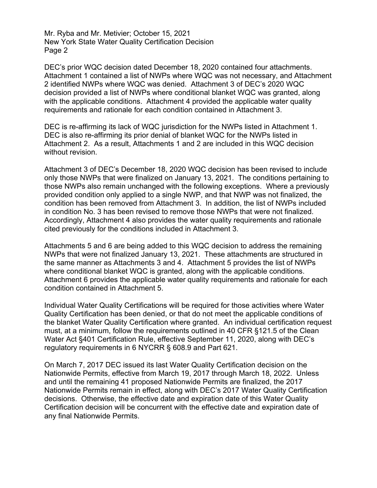DEC's prior WQC decision dated December 18, 2020 contained four attachments. Attachment 1 contained a list of NWPs where WQC was not necessary, and Attachment 2 identified NWPs where WQC was denied. Attachment 3 of DEC's 2020 WQC decision provided a list of NWPs where conditional blanket WQC was granted, along with the applicable conditions. Attachment 4 provided the applicable water quality requirements and rationale for each condition contained in Attachment 3.

DEC is re-affirming its lack of WQC jurisdiction for the NWPs listed in Attachment 1. DEC is also re-affirming its prior denial of blanket WQC for the NWPs listed in Attachment 2. As a result, Attachments 1 and 2 are included in this WQC decision without revision.

Attachment 3 of DEC's December 18, 2020 WQC decision has been revised to include only those NWPs that were finalized on January 13, 2021. The conditions pertaining to those NWPs also remain unchanged with the following exceptions. Where a previously provided condition only applied to a single NWP, and that NWP was not finalized, the condition has been removed from Attachment 3. In addition, the list of NWPs included in condition No. 3 has been revised to remove those NWPs that were not finalized. Accordingly, Attachment 4 also provides the water quality requirements and rationale cited previously for the conditions included in Attachment 3.

Attachments 5 and 6 are being added to this WQC decision to address the remaining NWPs that were not finalized January 13, 2021. These attachments are structured in the same manner as Attachments 3 and 4. Attachment 5 provides the list of NWPs where conditional blanket WQC is granted, along with the applicable conditions. Attachment 6 provides the applicable water quality requirements and rationale for each condition contained in Attachment 5.

Individual Water Quality Certifications will be required for those activities where Water Quality Certification has been denied, or that do not meet the applicable conditions of the blanket Water Quality Certification where granted. An individual certification request must, at a minimum, follow the requirements outlined in 40 CFR §121.5 of the Clean Water Act §401 Certification Rule, effective September 11, 2020, along with DEC's regulatory requirements in 6 NYCRR § 608.9 and Part 621.

On March 7, 2017 DEC issued its last Water Quality Certification decision on the Nationwide Permits, effective from March 19, 2017 through March 18, 2022. Unless and until the remaining 41 proposed Nationwide Permits are finalized, the 2017 Nationwide Permits remain in effect, along with DEC's 2017 Water Quality Certification decisions. Otherwise, the effective date and expiration date of this Water Quality Certification decision will be concurrent with the effective date and expiration date of any final Nationwide Permits.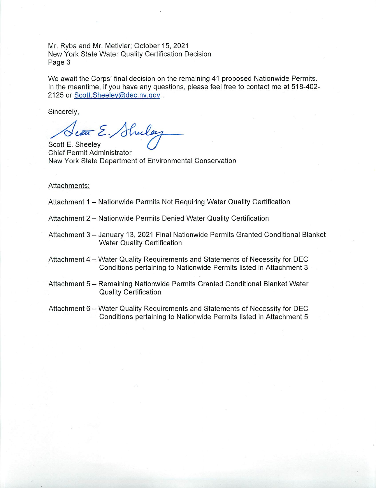We await the Corps' final decision on the remaining 41 proposed Nationwide Permits. In the meantime, if you have any questions, please feel free to contact me at 518-402-2125 or Scott.Sheeley@dec.ny.gov.

Sincerely,

Jean E. Sheley

Scott E. Sheeley **Chief Permit Administrator** New York State Department of Environmental Conservation

#### Attachments:

Attachment 1 - Nationwide Permits Not Requiring Water Quality Certification

Attachment 2 - Nationwide Permits Denied Water Quality Certification

Attachment 3 - January 13, 2021 Final Nationwide Permits Granted Conditional Blanket **Water Quality Certification** 

- Attachment 4 Water Quality Requirements and Statements of Necessity for DEC Conditions pertaining to Nationwide Permits listed in Attachment 3
- Attachment 5 Remaining Nationwide Permits Granted Conditional Blanket Water **Quality Certification**

Attachment 6 - Water Quality Requirements and Statements of Necessity for DEC Conditions pertaining to Nationwide Permits listed in Attachment 5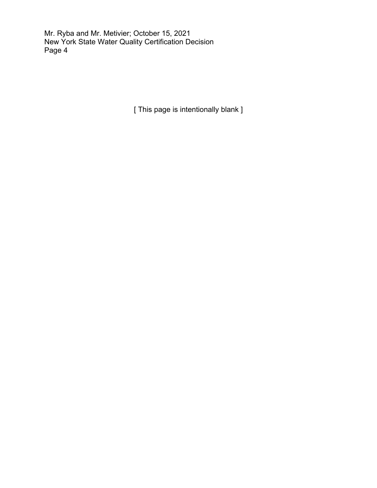[ This page is intentionally blank ]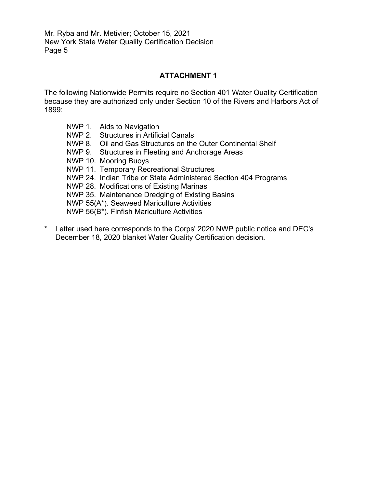## **ATTACHMENT 1**

The following Nationwide Permits require no Section 401 Water Quality Certification because they are authorized only under Section 10 of the Rivers and Harbors Act of 1899:

- NWP 1. Aids to Navigation
- NWP 2. Structures in Artificial Canals
- NWP 8. Oil and Gas Structures on the Outer Continental Shelf
- NWP 9. Structures in Fleeting and Anchorage Areas
- NWP 10. Mooring Buoys
- NWP 11. Temporary Recreational Structures
- NWP 24. Indian Tribe or State Administered Section 404 Programs
- NWP 28. Modifications of Existing Marinas
- NWP 35. Maintenance Dredging of Existing Basins
- NWP 55(A\*). Seaweed Mariculture Activities
- NWP 56(B\*). Finfish Mariculture Activities
- \* Letter used here corresponds to the Corps' 2020 NWP public notice and DEC's December 18, 2020 blanket Water Quality Certification decision.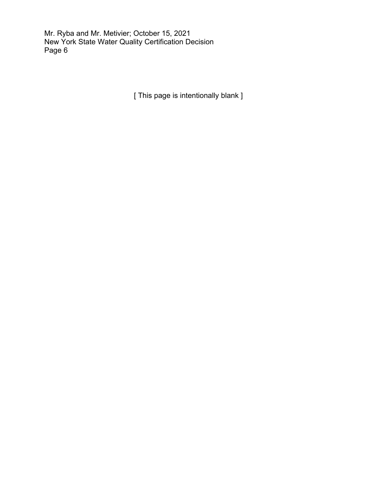[ This page is intentionally blank ]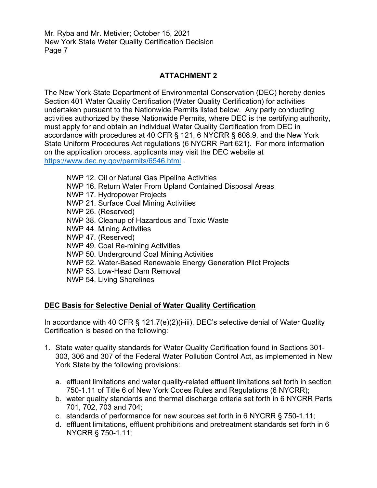## **ATTACHMENT 2**

The New York State Department of Environmental Conservation (DEC) hereby denies Section 401 Water Quality Certification (Water Quality Certification) for activities undertaken pursuant to the Nationwide Permits listed below. Any party conducting activities authorized by these Nationwide Permits, where DEC is the certifying authority, must apply for and obtain an individual Water Quality Certification from DEC in accordance with procedures at 40 CFR § 121, 6 NYCRR § 608.9, and the New York State Uniform Procedures Act regulations (6 NYCRR Part 621). For more information on the application process, applicants may visit the DEC website at https://www.dec.ny.gov/permits/6546.html .

- NWP 12. Oil or Natural Gas Pipeline Activities
- NWP 16. Return Water From Upland Contained Disposal Areas
- NWP 17. Hydropower Projects
- NWP 21. Surface Coal Mining Activities
- NWP 26. (Reserved)
- NWP 38. Cleanup of Hazardous and Toxic Waste
- NWP 44. Mining Activities
- NWP 47. (Reserved)
- NWP 49. Coal Re-mining Activities
- NWP 50. Underground Coal Mining Activities
- NWP 52. Water-Based Renewable Energy Generation Pilot Projects
- NWP 53. Low-Head Dam Removal
- NWP 54. Living Shorelines

## **DEC Basis for Selective Denial of Water Quality Certification**

In accordance with 40 CFR § 121.7(e)(2)(i-iii), DEC's selective denial of Water Quality Certification is based on the following:

- 1. State water quality standards for Water Quality Certification found in Sections 301- 303, 306 and 307 of the Federal Water Pollution Control Act, as implemented in New York State by the following provisions:
	- a. effluent limitations and water quality-related effluent limitations set forth in section 750-1.11 of Title 6 of New York Codes Rules and Regulations (6 NYCRR);
	- b. water quality standards and thermal discharge criteria set forth in 6 NYCRR Parts 701, 702, 703 and 704;
	- c. standards of performance for new sources set forth in 6 NYCRR § 750-1.11;
	- d. effluent limitations, effluent prohibitions and pretreatment standards set forth in 6 NYCRR § 750-1.11;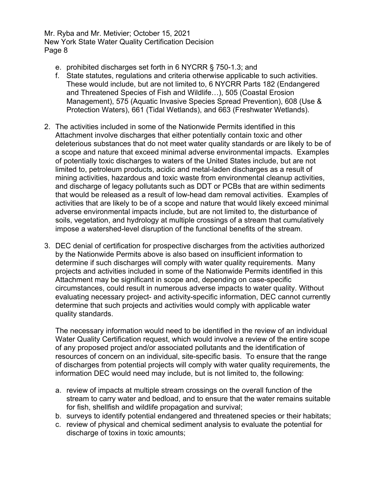- e. prohibited discharges set forth in 6 NYCRR § 750-1.3; and
- f. State statutes, regulations and criteria otherwise applicable to such activities. These would include, but are not limited to, 6 NYCRR Parts 182 (Endangered and Threatened Species of Fish and Wildlife…), 505 (Coastal Erosion Management), 575 (Aquatic Invasive Species Spread Prevention), 608 (Use & Protection Waters), 661 (Tidal Wetlands), and 663 (Freshwater Wetlands).
- 2. The activities included in some of the Nationwide Permits identified in this Attachment involve discharges that either potentially contain toxic and other deleterious substances that do not meet water quality standards or are likely to be of a scope and nature that exceed minimal adverse environmental impacts. Examples of potentially toxic discharges to waters of the United States include, but are not limited to, petroleum products, acidic and metal-laden discharges as a result of mining activities, hazardous and toxic waste from environmental cleanup activities, and discharge of legacy pollutants such as DDT or PCBs that are within sediments that would be released as a result of low-head dam removal activities. Examples of activities that are likely to be of a scope and nature that would likely exceed minimal adverse environmental impacts include, but are not limited to, the disturbance of soils, vegetation, and hydrology at multiple crossings of a stream that cumulatively impose a watershed-level disruption of the functional benefits of the stream.
- 3. DEC denial of certification for prospective discharges from the activities authorized by the Nationwide Permits above is also based on insufficient information to determine if such discharges will comply with water quality requirements. Many projects and activities included in some of the Nationwide Permits identified in this Attachment may be significant in scope and, depending on case-specific circumstances, could result in numerous adverse impacts to water quality. Without evaluating necessary project- and activity-specific information, DEC cannot currently determine that such projects and activities would comply with applicable water quality standards.

The necessary information would need to be identified in the review of an individual Water Quality Certification request, which would involve a review of the entire scope of any proposed project and/or associated pollutants and the identification of resources of concern on an individual, site-specific basis. To ensure that the range of discharges from potential projects will comply with water quality requirements, the information DEC would need may include, but is not limited to, the following:

- a. review of impacts at multiple stream crossings on the overall function of the stream to carry water and bedload, and to ensure that the water remains suitable for fish, shellfish and wildlife propagation and survival;
- b. surveys to identify potential endangered and threatened species or their habitats;
- c. review of physical and chemical sediment analysis to evaluate the potential for discharge of toxins in toxic amounts;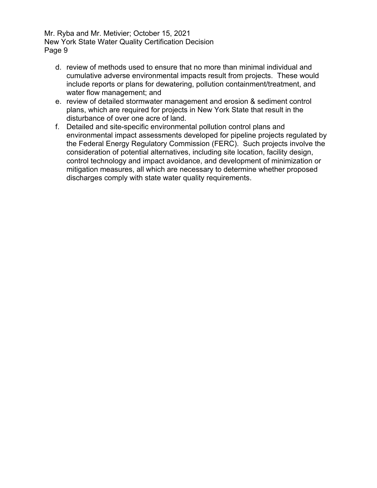- d. review of methods used to ensure that no more than minimal individual and cumulative adverse environmental impacts result from projects. These would include reports or plans for dewatering, pollution containment/treatment, and water flow management; and
- e. review of detailed stormwater management and erosion & sediment control plans, which are required for projects in New York State that result in the disturbance of over one acre of land.
- f. Detailed and site-specific environmental pollution control plans and environmental impact assessments developed for pipeline projects regulated by the Federal Energy Regulatory Commission (FERC). Such projects involve the consideration of potential alternatives, including site location, facility design, control technology and impact avoidance, and development of minimization or mitigation measures, all which are necessary to determine whether proposed discharges comply with state water quality requirements.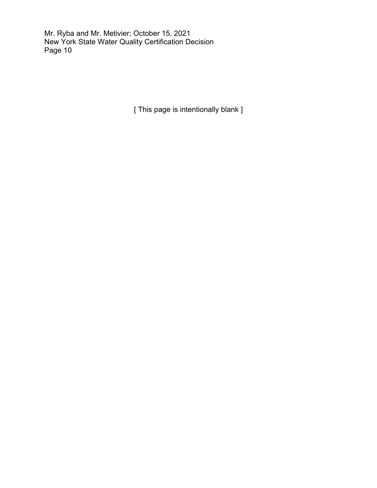[ This page is intentionally blank ]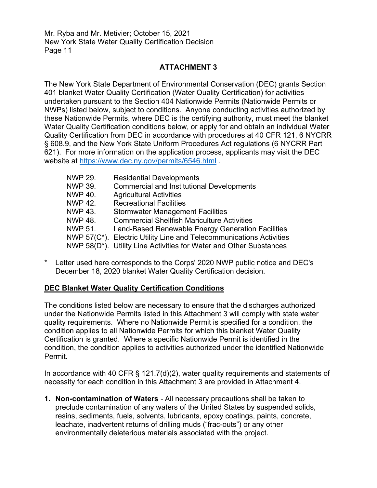## **ATTACHMENT 3**

The New York State Department of Environmental Conservation (DEC) grants Section 401 blanket Water Quality Certification (Water Quality Certification) for activities undertaken pursuant to the Section 404 Nationwide Permits (Nationwide Permits or NWPs) listed below, subject to conditions. Anyone conducting activities authorized by these Nationwide Permits, where DEC is the certifying authority, must meet the blanket Water Quality Certification conditions below, or apply for and obtain an individual Water Quality Certification from DEC in accordance with procedures at 40 CFR 121, 6 NYCRR § 608.9, and the New York State Uniform Procedures Act regulations (6 NYCRR Part 621). For more information on the application process, applicants may visit the DEC website at https://www.dec.ny.gov/permits/6546.html .

| NWP 29. | <b>Residential Developments</b>                                     |
|---------|---------------------------------------------------------------------|
| NWP 39. | <b>Commercial and Institutional Developments</b>                    |
| NWP 40. | <b>Agricultural Activities</b>                                      |
| NWP 42. | <b>Recreational Facilities</b>                                      |
| NWP 43. | <b>Stormwater Management Facilities</b>                             |
| NWP 48. | <b>Commercial Shellfish Mariculture Activities</b>                  |
| NWP 51. | Land-Based Renewable Energy Generation Facilities                   |
|         | NWP 57(C*). Electric Utility Line and Telecommunications Activities |
|         | NWP 58(D*). Utility Line Activities for Water and Other Substances  |

Letter used here corresponds to the Corps' 2020 NWP public notice and DEC's December 18, 2020 blanket Water Quality Certification decision.

## **DEC Blanket Water Quality Certification Conditions**

The conditions listed below are necessary to ensure that the discharges authorized under the Nationwide Permits listed in this Attachment 3 will comply with state water quality requirements. Where no Nationwide Permit is specified for a condition, the condition applies to all Nationwide Permits for which this blanket Water Quality Certification is granted. Where a specific Nationwide Permit is identified in the condition, the condition applies to activities authorized under the identified Nationwide Permit.

In accordance with 40 CFR § 121.7(d)(2), water quality requirements and statements of necessity for each condition in this Attachment 3 are provided in Attachment 4.

**1. Non-contamination of Waters** *-* All necessary precautions shall be taken to preclude contamination of any waters of the United States by suspended solids, resins, sediments, fuels, solvents, lubricants, epoxy coatings, paints, concrete, leachate, inadvertent returns of drilling muds ("frac-outs") or any other environmentally deleterious materials associated with the project.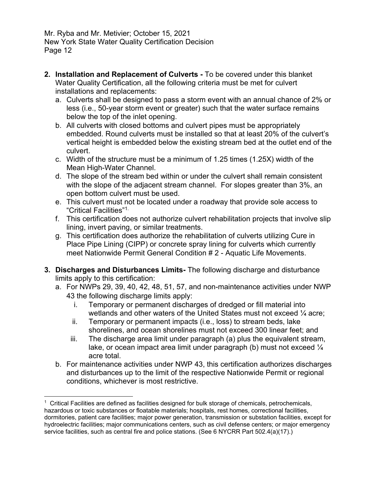- **2. Installation and Replacement of Culverts -** To be covered under this blanket Water Quality Certification, all the following criteria must be met for culvert installations and replacements:
	- a. Culverts shall be designed to pass a storm event with an annual chance of 2% or less (i.e., 50-year storm event or greater) such that the water surface remains below the top of the inlet opening.
	- b. All culverts with closed bottoms and culvert pipes must be appropriately embedded. Round culverts must be installed so that at least 20% of the culvert's vertical height is embedded below the existing stream bed at the outlet end of the culvert.
	- c. Width of the structure must be a minimum of 1.25 times (1.25X) width of the Mean High-Water Channel.
	- d. The slope of the stream bed within or under the culvert shall remain consistent with the slope of the adjacent stream channel. For slopes greater than 3%, an open bottom culvert must be used.
	- e. This culvert must not be located under a roadway that provide sole access to "Critical Facilities"1.
	- f. This certification does not authorize culvert rehabilitation projects that involve slip lining, invert paving, or similar treatments.
	- g. This certification does authorize the rehabilitation of culverts utilizing Cure in Place Pipe Lining (CIPP) or concrete spray lining for culverts which currently meet Nationwide Permit General Condition # 2 - Aquatic Life Movements.
- **3. Discharges and Disturbances Limits-** The following discharge and disturbance limits apply to this certification:
	- a. For NWPs 29, 39, 40, 42, 48, 51, 57, and non-maintenance activities under NWP 43 the following discharge limits apply:
		- i. Temporary or permanent discharges of dredged or fill material into wetlands and other waters of the United States must not exceed 1/4 acre;
		- ii. Temporary or permanent impacts (i.e., loss) to stream beds, lake shorelines, and ocean shorelines must not exceed 300 linear feet; and
		- iii. The discharge area limit under paragraph (a) plus the equivalent stream, lake, or ocean impact area limit under paragraph (b) must not exceed  $\frac{1}{4}$ acre total.
	- b. For maintenance activities under NWP 43, this certification authorizes discharges and disturbances up to the limit of the respective Nationwide Permit or regional conditions, whichever is most restrictive.

 $1$  Critical Facilities are defined as facilities designed for bulk storage of chemicals, petrochemicals, hazardous or toxic substances or floatable materials; hospitals, rest homes, correctional facilities, dormitories, patient care facilities; major power generation, transmission or substation facilities, except for hydroelectric facilities; major communications centers, such as civil defense centers; or major emergency service facilities, such as central fire and police stations. (See 6 NYCRR Part 502.4(a)(17).)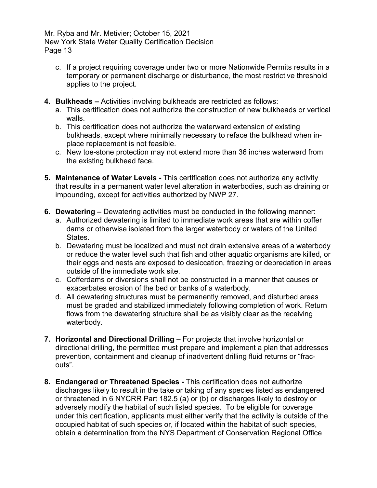- c. If a project requiring coverage under two or more Nationwide Permits results in a temporary or permanent discharge or disturbance, the most restrictive threshold applies to the project.
- **4. Bulkheads** Activities involving bulkheads are restricted as follows:
	- a. This certification does not authorize the construction of new bulkheads or vertical walls.
	- b. This certification does not authorize the waterward extension of existing bulkheads, except where minimally necessary to reface the bulkhead when inplace replacement is not feasible.
	- c. New toe-stone protection may not extend more than 36 inches waterward from the existing bulkhead face.
- **5. Maintenance of Water Levels** This certification does not authorize any activity that results in a permanent water level alteration in waterbodies, such as draining or impounding, except for activities authorized by NWP 27.
- **6. Dewatering –** Dewatering activities must be conducted in the following manner:
	- a. Authorized dewatering is limited to immediate work areas that are within coffer dams or otherwise isolated from the larger waterbody or waters of the United States.
	- b. Dewatering must be localized and must not drain extensive areas of a waterbody or reduce the water level such that fish and other aquatic organisms are killed, or their eggs and nests are exposed to desiccation, freezing or depredation in areas outside of the immediate work site.
	- c. Cofferdams or diversions shall not be constructed in a manner that causes or exacerbates erosion of the bed or banks of a waterbody.
	- d. All dewatering structures must be permanently removed, and disturbed areas must be graded and stabilized immediately following completion of work. Return flows from the dewatering structure shall be as visibly clear as the receiving waterbody.
- **7. Horizontal and Directional Drilling** For projects that involve horizontal or directional drilling, the permittee must prepare and implement a plan that addresses prevention, containment and cleanup of inadvertent drilling fluid returns or "fracouts".
- **8. Endangered or Threatened Species** This certification does not authorize discharges likely to result in the take or taking of any species listed as endangered or threatened in 6 NYCRR Part 182.5 (a) or (b) or discharges likely to destroy or adversely modify the habitat of such listed species. To be eligible for coverage under this certification, applicants must either verify that the activity is outside of the occupied habitat of such species or, if located within the habitat of such species, obtain a determination from the NYS Department of Conservation Regional Office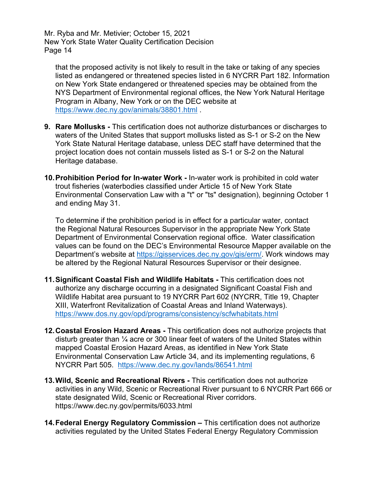that the proposed activity is not likely to result in the take or taking of any species listed as endangered or threatened species listed in 6 NYCRR Part 182. Information on New York State endangered or threatened species may be obtained from the NYS Department of Environmental regional offices, the New York Natural Heritage Program in Albany, New York or on the DEC website at https://www.dec.ny.gov/animals/38801.html .

- **9. Rare Mollusks -** This certification does not authorize disturbances or discharges to waters of the United States that support mollusks listed as S-1 or S-2 on the New York State Natural Heritage database, unless DEC staff have determined that the project location does not contain mussels listed as S-1 or S-2 on the Natural Heritage database.
- **10. Prohibition Period for In-water Work** In-water work is prohibited in cold water trout fisheries (waterbodies classified under Article 15 of New York State Environmental Conservation Law with a "t" or "ts" designation), beginning October 1 and ending May 31.

To determine if the prohibition period is in effect for a particular water, contact the Regional Natural Resources Supervisor in the appropriate New York State Department of Environmental Conservation regional office. Water classification values can be found on the DEC's Environmental Resource Mapper available on the Department's website at https://gisservices.dec.ny.gov/gis/erm/. Work windows may be altered by the Regional Natural Resources Supervisor or their designee.

- **11. Significant Coastal Fish and Wildlife Habitats -** This certification does not authorize any discharge occurring in a designated Significant Coastal Fish and Wildlife Habitat area pursuant to 19 NYCRR Part 602 (NYCRR, Title 19, Chapter XIII, Waterfront Revitalization of Coastal Areas and Inland Waterways). https://www.dos.ny.gov/opd/programs/consistency/scfwhabitats.html
- **12. Coastal Erosion Hazard Areas** This certification does not authorize projects that disturb greater than  $\frac{1}{4}$  acre or 300 linear feet of waters of the United States within mapped Coastal Erosion Hazard Areas, as identified in New York State Environmental Conservation Law Article 34, and its implementing regulations, 6 NYCRR Part 505. https://www.dec.ny.gov/lands/86541.html
- **13. Wild, Scenic and Recreational Rivers -** This certification does not authorize activities in any Wild, Scenic or Recreational River pursuant to 6 NYCRR Part 666 or state designated Wild, Scenic or Recreational River corridors. https://www.dec.ny.gov/permits/6033.html
- **14. Federal Energy Regulatory Commission** This certification does not authorize activities regulated by the United States Federal Energy Regulatory Commission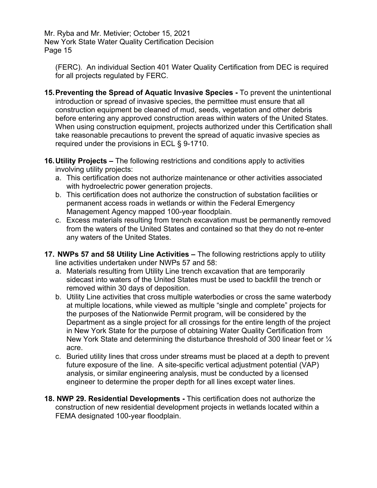(FERC). An individual Section 401 Water Quality Certification from DEC is required for all projects regulated by FERC.

- **15. Preventing the Spread of Aquatic Invasive Species** To prevent the unintentional introduction or spread of invasive species, the permittee must ensure that all construction equipment be cleaned of mud, seeds, vegetation and other debris before entering any approved construction areas within waters of the United States. When using construction equipment, projects authorized under this Certification shall take reasonable precautions to prevent the spread of aquatic invasive species as required under the provisions in ECL § 9-1710.
- **16. Utility Projects** The following restrictions and conditions apply to activities involving utility projects:
	- a. This certification does not authorize maintenance or other activities associated with hydroelectric power generation projects.
	- b. This certification does not authorize the construction of substation facilities or permanent access roads in wetlands or within the Federal Emergency Management Agency mapped 100-year floodplain.
	- c. Excess materials resulting from trench excavation must be permanently removed from the waters of the United States and contained so that they do not re-enter any waters of the United States.
- **17. NWPs 57 and 58 Utility Line Activities** The following restrictions apply to utility line activities undertaken under NWPs 57 and 58:
	- a. Materials resulting from Utility Line trench excavation that are temporarily sidecast into waters of the United States must be used to backfill the trench or removed within 30 days of deposition.
	- b. Utility Line activities that cross multiple waterbodies or cross the same waterbody at multiple locations, while viewed as multiple "single and complete" projects for the purposes of the Nationwide Permit program, will be considered by the Department as a single project for all crossings for the entire length of the project in New York State for the purpose of obtaining Water Quality Certification from New York State and determining the disturbance threshold of 300 linear feet or  $\mathcal{U}$ acre.
	- c. Buried utility lines that cross under streams must be placed at a depth to prevent future exposure of the line. A site-specific vertical adjustment potential (VAP) analysis, or similar engineering analysis, must be conducted by a licensed engineer to determine the proper depth for all lines except water lines.
- **18. NWP 29. Residential Developments** This certification does not authorize the construction of new residential development projects in wetlands located within a FEMA designated 100-year floodplain.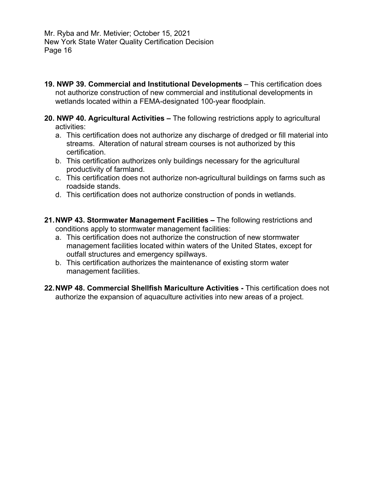- **19. NWP 39. Commercial and Institutional Developments** This certification does not authorize construction of new commercial and institutional developments in wetlands located within a FEMA-designated 100-year floodplain.
- **20. NWP 40. Agricultural Activities** The following restrictions apply to agricultural activities:
	- a. This certification does not authorize any discharge of dredged or fill material into streams. Alteration of natural stream courses is not authorized by this certification.
	- b. This certification authorizes only buildings necessary for the agricultural productivity of farmland.
	- c. This certification does not authorize non-agricultural buildings on farms such as roadside stands.
	- d. This certification does not authorize construction of ponds in wetlands.
- **21. NWP 43. Stormwater Management Facilities** The following restrictions and conditions apply to stormwater management facilities:
	- a. This certification does not authorize the construction of new stormwater management facilities located within waters of the United States, except for outfall structures and emergency spillways.
	- b. This certification authorizes the maintenance of existing storm water management facilities.
- **22. NWP 48. Commercial Shellfish Mariculture Activities** This certification does not authorize the expansion of aquaculture activities into new areas of a project.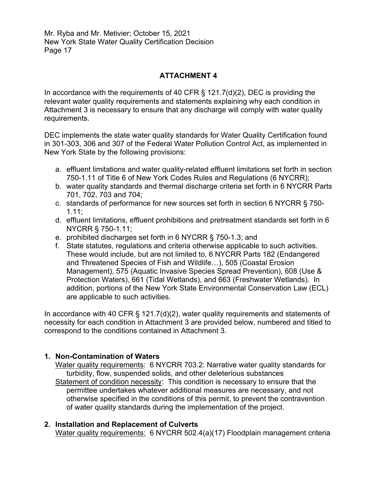## **ATTACHMENT 4**

In accordance with the requirements of 40 CFR  $\S$  121.7(d)(2), DEC is providing the relevant water quality requirements and statements explaining why each condition in Attachment 3 is necessary to ensure that any discharge will comply with water quality requirements.

DEC implements the state water quality standards for Water Quality Certification found in 301-303, 306 and 307 of the Federal Water Pollution Control Act, as implemented in New York State by the following provisions:

- a. effluent limitations and water quality-related effluent limitations set forth in section 750-1.11 of Title 6 of New York Codes Rules and Regulations (6 NYCRR);
- b. water quality standards and thermal discharge criteria set forth in 6 NYCRR Parts 701, 702, 703 and 704;
- c. standards of performance for new sources set forth in section 6 NYCRR § 750- 1.11;
- d. effluent limitations, effluent prohibitions and pretreatment standards set forth in 6 NYCRR § 750-1.11;
- e. prohibited discharges set forth in 6 NYCRR § 750-1.3; and
- f. State statutes, regulations and criteria otherwise applicable to such activities. These would include, but are not limited to, 6 NYCRR Parts 182 (Endangered and Threatened Species of Fish and Wildlife…), 505 (Coastal Erosion Management), 575 (Aquatic Invasive Species Spread Prevention), 608 (Use & Protection Waters), 661 (Tidal Wetlands), and 663 (Freshwater Wetlands). In addition, portions of the New York State Environmental Conservation Law (ECL) are applicable to such activities.

In accordance with 40 CFR § 121.7(d)(2), water quality requirements and statements of necessity for each condition in Attachment 3 are provided below, numbered and titled to correspond to the conditions contained in Attachment 3.

### **1. Non-Contamination of Waters**

Water quality requirements: 6 NYCRR 703.2: Narrative water quality standards for turbidity, flow, suspended solids, and other deleterious substances Statement of condition necessity: This condition is necessary to ensure that the permittee undertakes whatever additional measures are necessary, and not otherwise specified in the conditions of this permit, to prevent the contravention of water quality standards during the implementation of the project.

## **2. Installation and Replacement of Culverts**

Water quality requirements: 6 NYCRR 502.4(a)(17) Floodplain management criteria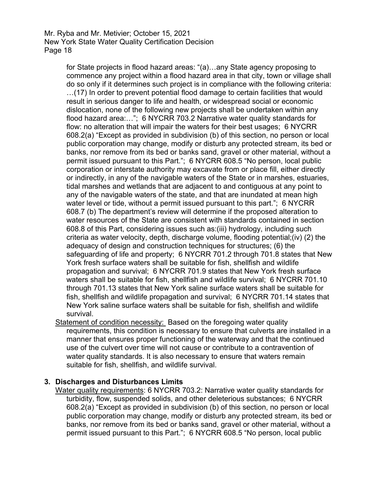> for State projects in flood hazard areas: "(a)…any State agency proposing to commence any project within a flood hazard area in that city, town or village shall do so only if it determines such project is in compliance with the following criteria: …(17) In order to prevent potential flood damage to certain facilities that would result in serious danger to life and health, or widespread social or economic dislocation, none of the following new projects shall be undertaken within any flood hazard area:…"; 6 NYCRR 703.2 Narrative water quality standards for flow: no alteration that will impair the waters for their best usages; 6 NYCRR 608.2(a) "Except as provided in subdivision (b) of this section, no person or local public corporation may change, modify or disturb any protected stream, its bed or banks, nor remove from its bed or banks sand, gravel or other material, without a permit issued pursuant to this Part."; 6 NYCRR 608.5 "No person, local public corporation or interstate authority may excavate from or place fill, either directly or indirectly, in any of the navigable waters of the State or in marshes, estuaries, tidal marshes and wetlands that are adjacent to and contiguous at any point to any of the navigable waters of the state, and that are inundated at mean high water level or tide, without a permit issued pursuant to this part."; 6 NYCRR 608.7 (b) The department's review will determine if the proposed alteration to water resources of the State are consistent with standards contained in section 608.8 of this Part, considering issues such as:(iii) hydrology, including such criteria as water velocity, depth, discharge volume, flooding potential;(iv) (2) the adequacy of design and construction techniques for structures; (6) the safeguarding of life and property; 6 NYCRR 701.2 through 701.8 states that New York fresh surface waters shall be suitable for fish, shellfish and wildlife propagation and survival; 6 NYCRR 701.9 states that New York fresh surface waters shall be suitable for fish, shellfish and wildlife survival; 6 NYCRR 701.10 through 701.13 states that New York saline surface waters shall be suitable for fish, shellfish and wildlife propagation and survival; 6 NYCRR 701.14 states that New York saline surface waters shall be suitable for fish, shellfish and wildlife survival.

Statement of condition necessity: Based on the foregoing water quality requirements, this condition is necessary to ensure that culverts are installed in a manner that ensures proper functioning of the waterway and that the continued use of the culvert over time will not cause or contribute to a contravention of water quality standards. It is also necessary to ensure that waters remain suitable for fish, shellfish, and wildlife survival.

### **3. Discharges and Disturbances Limits**

Water quality requirements: 6 NYCRR 703.2: Narrative water quality standards for turbidity, flow, suspended solids, and other deleterious substances; 6 NYCRR 608.2(a) "Except as provided in subdivision (b) of this section, no person or local public corporation may change, modify or disturb any protected stream, its bed or banks, nor remove from its bed or banks sand, gravel or other material, without a permit issued pursuant to this Part."; 6 NYCRR 608.5 "No person, local public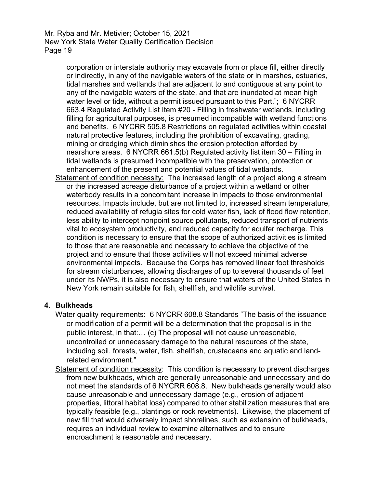> corporation or interstate authority may excavate from or place fill, either directly or indirectly, in any of the navigable waters of the state or in marshes, estuaries, tidal marshes and wetlands that are adjacent to and contiguous at any point to any of the navigable waters of the state, and that are inundated at mean high water level or tide, without a permit issued pursuant to this Part."; 6 NYCRR 663.4 Regulated Activity List Item #20 - Filling in freshwater wetlands, including filling for agricultural purposes, is presumed incompatible with wetland functions and benefits. 6 NYCRR 505.8 Restrictions on regulated activities within coastal natural protective features, including the prohibition of excavating, grading, mining or dredging which diminishes the erosion protection afforded by nearshore areas. 6 NYCRR 661.5(b) Regulated activity list item 30 – Filling in tidal wetlands is presumed incompatible with the preservation, protection or enhancement of the present and potential values of tidal wetlands.

Statement of condition necessity: The increased length of a project along a stream or the increased acreage disturbance of a project within a wetland or other waterbody results in a concomitant increase in impacts to those environmental resources. Impacts include, but are not limited to, increased stream temperature, reduced availability of refugia sites for cold water fish, lack of flood flow retention, less ability to intercept nonpoint source pollutants, reduced transport of nutrients vital to ecosystem productivity, and reduced capacity for aquifer recharge. This condition is necessary to ensure that the scope of authorized activities is limited to those that are reasonable and necessary to achieve the objective of the project and to ensure that those activities will not exceed minimal adverse environmental impacts. Because the Corps has removed linear foot thresholds for stream disturbances, allowing discharges of up to several thousands of feet under its NWPs, it is also necessary to ensure that waters of the United States in New York remain suitable for fish, shellfish, and wildlife survival.

### **4. Bulkheads**

- Water quality requirements: 6 NYCRR 608.8 Standards "The basis of the issuance or modification of a permit will be a determination that the proposal is in the public interest, in that:… (c) The proposal will not cause unreasonable, uncontrolled or unnecessary damage to the natural resources of the state, including soil, forests, water, fish, shellfish, crustaceans and aquatic and landrelated environment."
- Statement of condition necessity: This condition is necessary to prevent discharges from new bulkheads, which are generally unreasonable and unnecessary and do not meet the standards of 6 NYCRR 608.8. New bulkheads generally would also cause unreasonable and unnecessary damage (e.g., erosion of adjacent properties, littoral habitat loss) compared to other stabilization measures that are typically feasible (e.g., plantings or rock revetments). Likewise, the placement of new fill that would adversely impact shorelines, such as extension of bulkheads, requires an individual review to examine alternatives and to ensure encroachment is reasonable and necessary.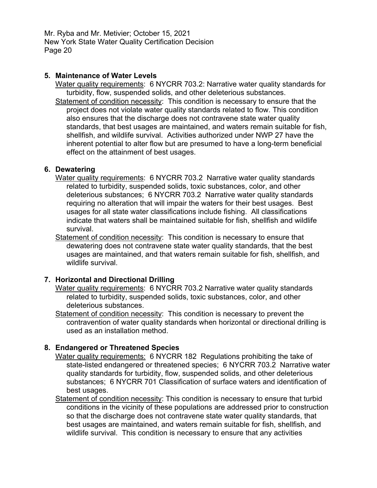### **5. Maintenance of Water Levels**

Water quality requirements: 6 NYCRR 703.2: Narrative water quality standards for turbidity, flow, suspended solids, and other deleterious substances.

Statement of condition necessity: This condition is necessary to ensure that the project does not violate water quality standards related to flow. This condition also ensures that the discharge does not contravene state water quality standards, that best usages are maintained, and waters remain suitable for fish, shellfish, and wildlife survival. Activities authorized under NWP 27 have the inherent potential to alter flow but are presumed to have a long-term beneficial effect on the attainment of best usages.

## **6. Dewatering**

- Water quality requirements: 6 NYCRR 703.2 Narrative water quality standards related to turbidity, suspended solids, toxic substances, color, and other deleterious substances; 6 NYCRR 703.2 Narrative water quality standards requiring no alteration that will impair the waters for their best usages. Best usages for all state water classifications include fishing. All classifications indicate that waters shall be maintained suitable for fish, shellfish and wildlife survival.
- Statement of condition necessity: This condition is necessary to ensure that dewatering does not contravene state water quality standards, that the best usages are maintained, and that waters remain suitable for fish, shellfish, and wildlife survival.

## **7. Horizontal and Directional Drilling**

- Water quality requirements: 6 NYCRR 703.2 Narrative water quality standards related to turbidity, suspended solids, toxic substances, color, and other deleterious substances.
- Statement of condition necessity: This condition is necessary to prevent the contravention of water quality standards when horizontal or directional drilling is used as an installation method.

## **8. Endangered or Threatened Species**

- Water quality requirements: 6 NYCRR 182 Regulations prohibiting the take of state-listed endangered or threatened species; 6 NYCRR 703.2 Narrative water quality standards for turbidity, flow, suspended solids, and other deleterious substances; 6 NYCRR 701 Classification of surface waters and identification of best usages.
- Statement of condition necessity: This condition is necessary to ensure that turbid conditions in the vicinity of these populations are addressed prior to construction so that the discharge does not contravene state water quality standards, that best usages are maintained, and waters remain suitable for fish, shellfish, and wildlife survival.This condition is necessary to ensure that any activities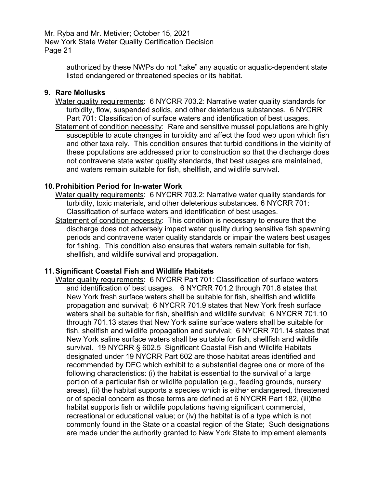> authorized by these NWPs do not "take" any aquatic or aquatic-dependent state listed endangered or threatened species or its habitat.

### **9. Rare Mollusks**

Water quality requirements: 6 NYCRR 703.2: Narrative water quality standards for turbidity, flow, suspended solids, and other deleterious substances. 6 NYCRR Part 701: Classification of surface waters and identification of best usages. Statement of condition necessity: Rare and sensitive mussel populations are highly susceptible to acute changes in turbidity and affect the food web upon which fish and other taxa rely. This condition ensures that turbid conditions in the vicinity of these populations are addressed prior to construction so that the discharge does not contravene state water quality standards, that best usages are maintained, and waters remain suitable for fish, shellfish, and wildlife survival.

### **10. Prohibition Period for In-water Work**

- Water quality requirements: 6 NYCRR 703.2: Narrative water quality standards for turbidity, toxic materials, and other deleterious substances. 6 NYCRR 701: Classification of surface waters and identification of best usages.
- Statement of condition necessity: This condition is necessary to ensure that the discharge does not adversely impact water quality during sensitive fish spawning periods and contravene water quality standards or impair the waters best usages for fishing. This condition also ensures that waters remain suitable for fish, shellfish, and wildlife survival and propagation.

### **11. Significant Coastal Fish and Wildlife Habitats**

Water quality requirements: 6 NYCRR Part 701: Classification of surface waters and identification of best usages. 6 NYCRR 701.2 through 701.8 states that New York fresh surface waters shall be suitable for fish, shellfish and wildlife propagation and survival; 6 NYCRR 701.9 states that New York fresh surface waters shall be suitable for fish, shellfish and wildlife survival; 6 NYCRR 701.10 through 701.13 states that New York saline surface waters shall be suitable for fish, shellfish and wildlife propagation and survival; 6 NYCRR 701.14 states that New York saline surface waters shall be suitable for fish, shellfish and wildlife survival. 19 NYCRR § 602.5 Significant Coastal Fish and Wildlife Habitats designated under 19 NYCRR Part 602 are those habitat areas identified and recommended by DEC which exhibit to a substantial degree one or more of the following characteristics: (i) the habitat is essential to the survival of a large portion of a particular fish or wildlife population (e.g., feeding grounds, nursery areas), (ii) the habitat supports a species which is either endangered, threatened or of special concern as those terms are defined at 6 NYCRR Part 182, (iii)the habitat supports fish or wildlife populations having significant commercial, recreational or educational value; or (iv) the habitat is of a type which is not commonly found in the State or a coastal region of the State; Such designations are made under the authority granted to New York State to implement elements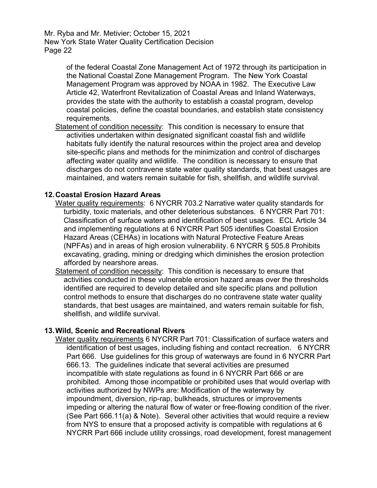> of the federal Coastal Zone Management Act of 1972 through its participation in the National Coastal Zone Management Program. The New York Coastal Management Program was approved by NOAA in 1982. The Executive Law Article 42, Waterfront Revitalization of Coastal Areas and Inland Waterways, provides the state with the authority to establish a coastal program, develop coastal policies, define the coastal boundaries, and establish state consistency requirements.

Statement of condition necessity: This condition is necessary to ensure that activities undertaken within designated significant coastal fish and wildlife habitats fully identify the natural resources within the project area and develop site-specific plans and methods for the minimization and control of discharges affecting water quality and wildlife. The condition is necessary to ensure that discharges do not contravene state water quality standards, that best usages are maintained, and waters remain suitable for fish, shellfish, and wildlife survival.

### **12. Coastal Erosion Hazard Areas**

- Water quality requirements: 6 NYCRR 703.2 Narrative water quality standards for turbidity, toxic materials, and other deleterious substances. 6 NYCRR Part 701: Classification of surface waters and identification of best usages. ECL Article 34 and implementing regulations at 6 NYCRR Part 505 identifies Coastal Erosion Hazard Areas (CEHAs) in locations with Natural Protective Feature Areas (NPFAs) and in areas of high erosion vulnerability. 6 NYCRR § 505.8 Prohibits excavating, grading, mining or dredging which diminishes the erosion protection afforded by nearshore areas.
- Statement of condition necessity: This condition is necessary to ensure that activities conducted in these vulnerable erosion hazard areas over the thresholds identified are required to develop detailed and site specific plans and pollution control methods to ensure that discharges do no contravene state water quality standards, that best usages are maintained, and waters remain suitable for fish, shellfish, and wildlife survival.

#### **13. Wild, Scenic and Recreational Rivers**

Water quality requirements 6 NYCRR Part 701: Classification of surface waters and identification of best usages, including fishing and contact recreation.6 NYCRR Part 666. Use guidelines for this group of waterways are found in 6 NYCRR Part 666.13. The guidelines indicate that several activities are presumed incompatible with state regulations as found in 6 NYCRR Part 666 or are prohibited. Among those incompatible or prohibited uses that would overlap with activities authorized by NWPs are: Modification of the waterway by impoundment, diversion, rip-rap, bulkheads, structures or improvements impeding or altering the natural flow of water or free-flowing condition of the river. (See Part 666.11(a) & Note). Several other activities that would require a review from NYS to ensure that a proposed activity is compatible with regulations at 6 NYCRR Part 666 include utility crossings, road development, forest management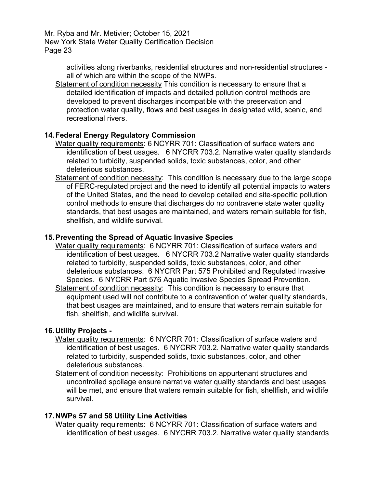> activities along riverbanks, residential structures and non-residential structures all of which are within the scope of the NWPs.

Statement of condition necessity This condition is necessary to ensure that a detailed identification of impacts and detailed pollution control methods are developed to prevent discharges incompatible with the preservation and protection water quality, flows and best usages in designated wild, scenic, and recreational rivers.

### **14. Federal Energy Regulatory Commission**

- Water quality requirements: 6 NCYRR 701: Classification of surface waters and identification of best usages. 6 NYCRR 703.2. Narrative water quality standards related to turbidity, suspended solids, toxic substances, color, and other deleterious substances.
- Statement of condition necessity: This condition is necessary due to the large scope of FERC-regulated project and the need to identify all potential impacts to waters of the United States, and the need to develop detailed and site-specific pollution control methods to ensure that discharges do no contravene state water quality standards, that best usages are maintained, and waters remain suitable for fish, shellfish, and wildlife survival.

### **15. Preventing the Spread of Aquatic Invasive Species**

Water quality requirements: 6 NCYRR 701: Classification of surface waters and identification of best usages. 6 NYCRR 703.2 Narrative water quality standards related to turbidity, suspended solids, toxic substances, color, and other deleterious substances. 6 NYCRR Part 575 Prohibited and Regulated Invasive Species. 6 NYCRR Part 576 Aquatic Invasive Species Spread Prevention. Statement of condition necessity: This condition is necessary to ensure that equipment used will not contribute to a contravention of water quality standards, that best usages are maintained, and to ensure that waters remain suitable for fish, shellfish, and wildlife survival.

### **16. Utility Projects -**

- Water quality requirements: 6 NYCRR 701: Classification of surface waters and identification of best usages. 6 NYCRR 703.2. Narrative water quality standards related to turbidity, suspended solids, toxic substances, color, and other deleterious substances.
- Statement of condition necessity: Prohibitions on appurtenant structures and uncontrolled spoilage ensure narrative water quality standards and best usages will be met, and ensure that waters remain suitable for fish, shellfish, and wildlife survival.

### **17. NWPs 57 and 58 Utility Line Activities**

Water quality requirements: 6 NCYRR 701: Classification of surface waters and identification of best usages. 6 NYCRR 703.2. Narrative water quality standards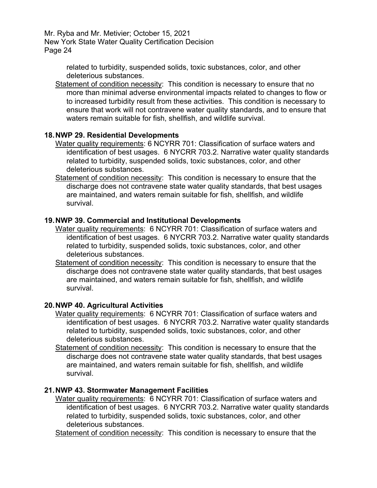> related to turbidity, suspended solids, toxic substances, color, and other deleterious substances.

Statement of condition necessity: This condition is necessary to ensure that no more than minimal adverse environmental impacts related to changes to flow or to increased turbidity result from these activities. This condition is necessary to ensure that work will not contravene water quality standards, and to ensure that waters remain suitable for fish, shellfish, and wildlife survival.

### **18. NWP 29. Residential Developments**

- Water quality requirements: 6 NCYRR 701: Classification of surface waters and identification of best usages. 6 NYCRR 703.2. Narrative water quality standards related to turbidity, suspended solids, toxic substances, color, and other deleterious substances.
- Statement of condition necessity: This condition is necessary to ensure that the discharge does not contravene state water quality standards, that best usages are maintained, and waters remain suitable for fish, shellfish, and wildlife survival.

### **19. NWP 39. Commercial and Institutional Developments**

- Water quality requirements: 6 NCYRR 701: Classification of surface waters and identification of best usages. 6 NYCRR 703.2. Narrative water quality standards related to turbidity, suspended solids, toxic substances, color, and other deleterious substances.
- Statement of condition necessity: This condition is necessary to ensure that the discharge does not contravene state water quality standards, that best usages are maintained, and waters remain suitable for fish, shellfish, and wildlife survival.

### **20. NWP 40. Agricultural Activities**

- Water quality requirements: 6 NCYRR 701: Classification of surface waters and identification of best usages. 6 NYCRR 703.2. Narrative water quality standards related to turbidity, suspended solids, toxic substances, color, and other deleterious substances.
- Statement of condition necessity: This condition is necessary to ensure that the discharge does not contravene state water quality standards, that best usages are maintained, and waters remain suitable for fish, shellfish, and wildlife survival.

### **21. NWP 43. Stormwater Management Facilities**

Water quality requirements: 6 NCYRR 701: Classification of surface waters and identification of best usages. 6 NYCRR 703.2. Narrative water quality standards related to turbidity, suspended solids, toxic substances, color, and other deleterious substances.

Statement of condition necessity: This condition is necessary to ensure that the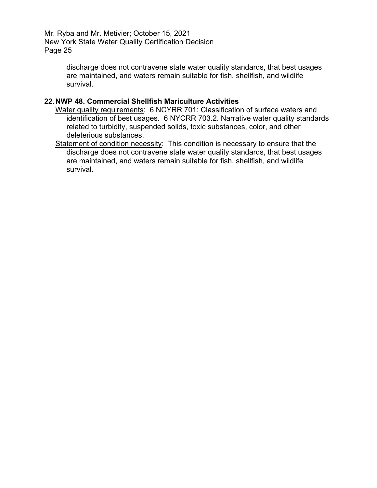> discharge does not contravene state water quality standards, that best usages are maintained, and waters remain suitable for fish, shellfish, and wildlife survival.

### **22. NWP 48. Commercial Shellfish Mariculture Activities**

- Water quality requirements: 6 NCYRR 701: Classification of surface waters and identification of best usages. 6 NYCRR 703.2. Narrative water quality standards related to turbidity, suspended solids, toxic substances, color, and other deleterious substances.
- Statement of condition necessity: This condition is necessary to ensure that the discharge does not contravene state water quality standards, that best usages are maintained, and waters remain suitable for fish, shellfish, and wildlife survival.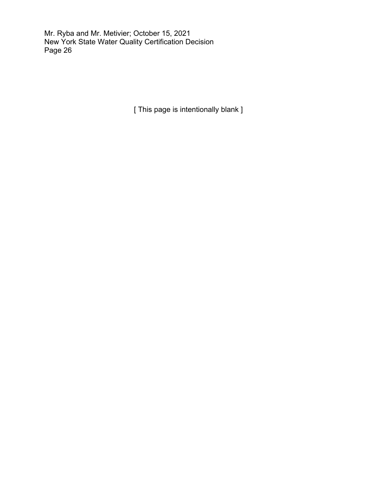[ This page is intentionally blank ]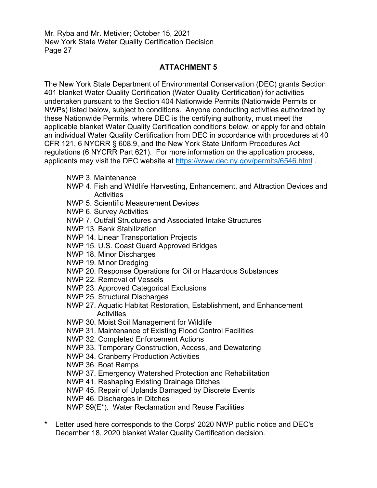# **ATTACHMENT 5**

The New York State Department of Environmental Conservation (DEC) grants Section 401 blanket Water Quality Certification (Water Quality Certification) for activities undertaken pursuant to the Section 404 Nationwide Permits (Nationwide Permits or NWPs) listed below, subject to conditions. Anyone conducting activities authorized by these Nationwide Permits, where DEC is the certifying authority, must meet the applicable blanket Water Quality Certification conditions below, or apply for and obtain an individual Water Quality Certification from DEC in accordance with procedures at 40 CFR 121, 6 NYCRR § 608.9, and the New York State Uniform Procedures Act regulations (6 NYCRR Part 621). For more information on the application process, applicants may visit the DEC website at https://www.dec.ny.gov/permits/6546.html .

- NWP 3. Maintenance
- NWP 4. Fish and Wildlife Harvesting, Enhancement, and Attraction Devices and **Activities**
- NWP 5. Scientific Measurement Devices
- NWP 6. Survey Activities
- NWP 7. Outfall Structures and Associated Intake Structures
- NWP 13. Bank Stabilization
- NWP 14. Linear Transportation Projects
- NWP 15. U.S. Coast Guard Approved Bridges
- NWP 18. Minor Discharges
- NWP 19. Minor Dredging
- NWP 20. Response Operations for Oil or Hazardous Substances
- NWP 22. Removal of Vessels
- NWP 23. Approved Categorical Exclusions
- NWP 25. Structural Discharges
- NWP 27. Aquatic Habitat Restoration, Establishment, and Enhancement Activities
- NWP 30. Moist Soil Management for Wildlife
- NWP 31. Maintenance of Existing Flood Control Facilities
- NWP 32. Completed Enforcement Actions
- NWP 33. Temporary Construction, Access, and Dewatering
- NWP 34. Cranberry Production Activities
- NWP 36. Boat Ramps
- NWP 37. Emergency Watershed Protection and Rehabilitation
- NWP 41. Reshaping Existing Drainage Ditches
- NWP 45. Repair of Uplands Damaged by Discrete Events
- NWP 46. Discharges in Ditches

NWP 59(E\*). Water Reclamation and Reuse Facilities

Letter used here corresponds to the Corps' 2020 NWP public notice and DEC's December 18, 2020 blanket Water Quality Certification decision.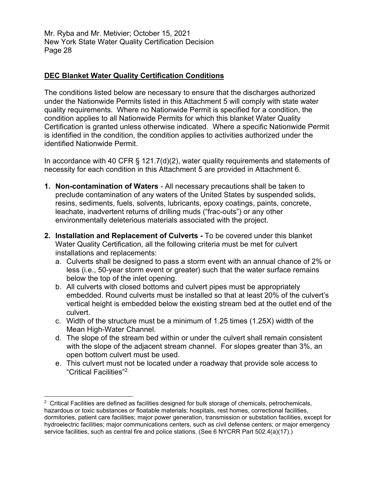## **DEC Blanket Water Quality Certification Conditions**

The conditions listed below are necessary to ensure that the discharges authorized under the Nationwide Permits listed in this Attachment 5 will comply with state water quality requirements. Where no Nationwide Permit is specified for a condition, the condition applies to all Nationwide Permits for which this blanket Water Quality Certification is granted unless otherwise indicated. Where a specific Nationwide Permit is identified in the condition, the condition applies to activities authorized under the identified Nationwide Permit.

In accordance with 40 CFR § 121.7(d)(2), water quality requirements and statements of necessity for each condition in this Attachment 5 are provided in Attachment 6.

- **1. Non-contamination of Waters** All necessary precautions shall be taken to preclude contamination of any waters of the United States by suspended solids, resins, sediments, fuels, solvents, lubricants, epoxy coatings, paints, concrete, leachate, inadvertent returns of drilling muds ("frac-outs") or any other environmentally deleterious materials associated with the project.
- **2. Installation and Replacement of Culverts -** To be covered under this blanket Water Quality Certification, all the following criteria must be met for culvert installations and replacements:
	- a. Culverts shall be designed to pass a storm event with an annual chance of 2% or less (i.e., 50-year storm event or greater) such that the water surface remains below the top of the inlet opening.
	- b. All culverts with closed bottoms and culvert pipes must be appropriately embedded. Round culverts must be installed so that at least 20% of the culvert's vertical height is embedded below the existing stream bed at the outlet end of the culvert.
	- c. Width of the structure must be a minimum of 1.25 times (1.25X) width of the Mean High-Water Channel.
	- d. The slope of the stream bed within or under the culvert shall remain consistent with the slope of the adjacent stream channel. For slopes greater than 3%, an open bottom culvert must be used.
	- e. This culvert must not be located under a roadway that provide sole access to "Critical Facilities"2.

 $2\degree$  Critical Facilities are defined as facilities designed for bulk storage of chemicals, petrochemicals, hazardous or toxic substances or floatable materials; hospitals, rest homes, correctional facilities, dormitories, patient care facilities; major power generation, transmission or substation facilities, except for hydroelectric facilities; major communications centers, such as civil defense centers; or major emergency service facilities, such as central fire and police stations. (See 6 NYCRR Part 502.4(a)(17).)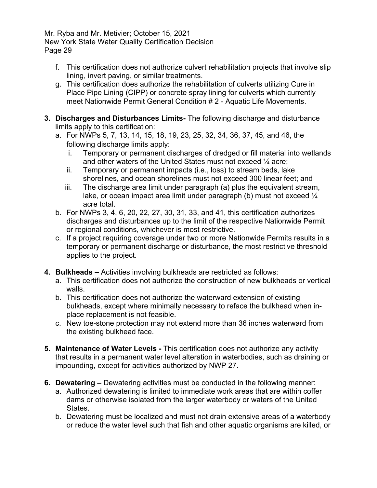- f. This certification does not authorize culvert rehabilitation projects that involve slip lining, invert paving, or similar treatments.
- g. This certification does authorize the rehabilitation of culverts utilizing Cure in Place Pipe Lining (CIPP) or concrete spray lining for culverts which currently meet Nationwide Permit General Condition # 2 - Aquatic Life Movements.
- **3. Discharges and Disturbances Limits-** The following discharge and disturbance limits apply to this certification:
	- a. For NWPs 5, 7, 13, 14, 15, 18, 19, 23, 25, 32, 34, 36, 37, 45, and 46, the following discharge limits apply:
		- i. Temporary or permanent discharges of dredged or fill material into wetlands and other waters of the United States must not exceed ¼ acre;
		- ii. Temporary or permanent impacts (i.e., loss) to stream beds, lake shorelines, and ocean shorelines must not exceed 300 linear feet; and
		- iii. The discharge area limit under paragraph (a) plus the equivalent stream, lake, or ocean impact area limit under paragraph (b) must not exceed  $\frac{1}{4}$ acre total.
	- b. For NWPs 3, 4, 6, 20, 22, 27, 30, 31, 33, and 41, this certification authorizes discharges and disturbances up to the limit of the respective Nationwide Permit or regional conditions, whichever is most restrictive.
	- c. If a project requiring coverage under two or more Nationwide Permits results in a temporary or permanent discharge or disturbance, the most restrictive threshold applies to the project.
- **4. Bulkheads** Activities involving bulkheads are restricted as follows:
	- a. This certification does not authorize the construction of new bulkheads or vertical walls.
	- b. This certification does not authorize the waterward extension of existing bulkheads, except where minimally necessary to reface the bulkhead when inplace replacement is not feasible.
	- c. New toe-stone protection may not extend more than 36 inches waterward from the existing bulkhead face.
- **5. Maintenance of Water Levels** This certification does not authorize any activity that results in a permanent water level alteration in waterbodies, such as draining or impounding, except for activities authorized by NWP 27.
- **6. Dewatering –** Dewatering activities must be conducted in the following manner:
	- a. Authorized dewatering is limited to immediate work areas that are within coffer dams or otherwise isolated from the larger waterbody or waters of the United States.
	- b. Dewatering must be localized and must not drain extensive areas of a waterbody or reduce the water level such that fish and other aquatic organisms are killed, or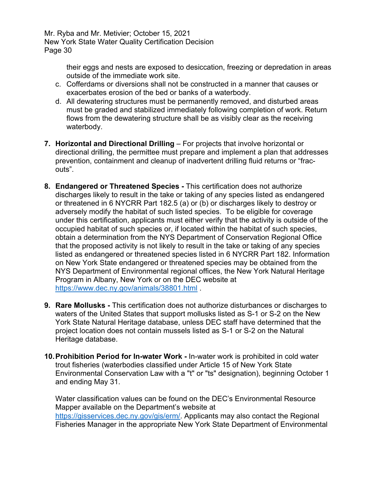> their eggs and nests are exposed to desiccation, freezing or depredation in areas outside of the immediate work site.

- c. Cofferdams or diversions shall not be constructed in a manner that causes or exacerbates erosion of the bed or banks of a waterbody.
- d. All dewatering structures must be permanently removed, and disturbed areas must be graded and stabilized immediately following completion of work. Return flows from the dewatering structure shall be as visibly clear as the receiving waterbody.
- **7. Horizontal and Directional Drilling** For projects that involve horizontal or directional drilling, the permittee must prepare and implement a plan that addresses prevention, containment and cleanup of inadvertent drilling fluid returns or "fracouts".
- **8. Endangered or Threatened Species** This certification does not authorize discharges likely to result in the take or taking of any species listed as endangered or threatened in 6 NYCRR Part 182.5 (a) or (b) or discharges likely to destroy or adversely modify the habitat of such listed species. To be eligible for coverage under this certification, applicants must either verify that the activity is outside of the occupied habitat of such species or, if located within the habitat of such species, obtain a determination from the NYS Department of Conservation Regional Office that the proposed activity is not likely to result in the take or taking of any species listed as endangered or threatened species listed in 6 NYCRR Part 182. Information on New York State endangered or threatened species may be obtained from the NYS Department of Environmental regional offices, the New York Natural Heritage Program in Albany, New York or on the DEC website at https://www.dec.ny.gov/animals/38801.html .
- **9. Rare Mollusks -** This certification does not authorize disturbances or discharges to waters of the United States that support mollusks listed as S-1 or S-2 on the New York State Natural Heritage database, unless DEC staff have determined that the project location does not contain mussels listed as S-1 or S-2 on the Natural Heritage database.
- **10. Prohibition Period for In-water Work** In-water work is prohibited in cold water trout fisheries (waterbodies classified under Article 15 of New York State Environmental Conservation Law with a "t" or "ts" designation), beginning October 1 and ending May 31.

Water classification values can be found on the DEC's Environmental Resource Mapper available on the Department's website at https://gisservices.dec.ny.gov/gis/erm/. Applicants may also contact the Regional Fisheries Manager in the appropriate New York State Department of Environmental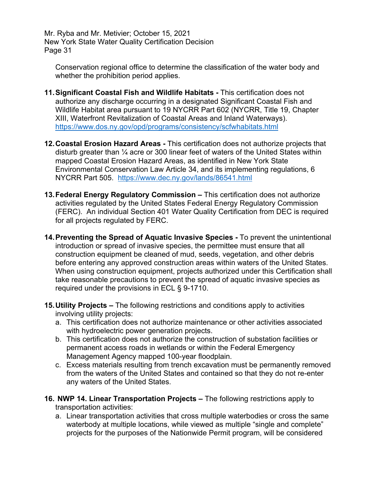Conservation regional office to determine the classification of the water body and whether the prohibition period applies.

- **11. Significant Coastal Fish and Wildlife Habitats -** This certification does not authorize any discharge occurring in a designated Significant Coastal Fish and Wildlife Habitat area pursuant to 19 NYCRR Part 602 (NYCRR, Title 19, Chapter XIII, Waterfront Revitalization of Coastal Areas and Inland Waterways). https://www.dos.ny.gov/opd/programs/consistency/scfwhabitats.html
- **12. Coastal Erosion Hazard Areas** This certification does not authorize projects that disturb greater than ¼ acre or 300 linear feet of waters of the United States within mapped Coastal Erosion Hazard Areas, as identified in New York State Environmental Conservation Law Article 34, and its implementing regulations, 6 NYCRR Part 505. https://www.dec.ny.gov/lands/86541.html
- **13. Federal Energy Regulatory Commission** This certification does not authorize activities regulated by the United States Federal Energy Regulatory Commission (FERC). An individual Section 401 Water Quality Certification from DEC is required for all projects regulated by FERC.
- **14. Preventing the Spread of Aquatic Invasive Species** To prevent the unintentional introduction or spread of invasive species, the permittee must ensure that all construction equipment be cleaned of mud, seeds, vegetation, and other debris before entering any approved construction areas within waters of the United States. When using construction equipment, projects authorized under this Certification shall take reasonable precautions to prevent the spread of aquatic invasive species as required under the provisions in ECL § 9-1710.
- **15. Utility Projects** The following restrictions and conditions apply to activities involving utility projects:
	- a. This certification does not authorize maintenance or other activities associated with hydroelectric power generation projects.
	- b. This certification does not authorize the construction of substation facilities or permanent access roads in wetlands or within the Federal Emergency Management Agency mapped 100-year floodplain.
	- c. Excess materials resulting from trench excavation must be permanently removed from the waters of the United States and contained so that they do not re-enter any waters of the United States.
- **16. NWP 14. Linear Transportation Projects** The following restrictions apply to transportation activities:
	- a. Linear transportation activities that cross multiple waterbodies or cross the same waterbody at multiple locations, while viewed as multiple "single and complete" projects for the purposes of the Nationwide Permit program, will be considered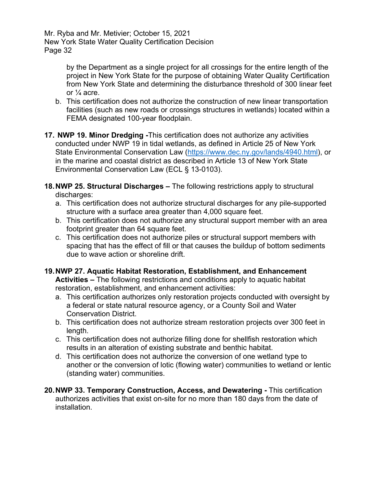> by the Department as a single project for all crossings for the entire length of the project in New York State for the purpose of obtaining Water Quality Certification from New York State and determining the disturbance threshold of 300 linear feet or  $\frac{1}{4}$  acre.

- b. This certification does not authorize the construction of new linear transportation facilities (such as new roads or crossings structures in wetlands) located within a FEMA designated 100-year floodplain.
- **17. NWP 19. Minor Dredging -**This certification does not authorize any activities conducted under NWP 19 in tidal wetlands, as defined in Article 25 of New York State Environmental Conservation Law (https://www.dec.ny.gov/lands/4940.html), or in the marine and coastal district as described in Article 13 of New York State Environmental Conservation Law (ECL § 13-0103).
- **18. NWP 25. Structural Discharges** The following restrictions apply to structural discharges:
	- a. This certification does not authorize structural discharges for any pile-supported structure with a surface area greater than 4,000 square feet.
	- b. This certification does not authorize any structural support member with an area footprint greater than 64 square feet.
	- c. This certification does not authorize piles or structural support members with spacing that has the effect of fill or that causes the buildup of bottom sediments due to wave action or shoreline drift.
- **19. NWP 27. Aquatic Habitat Restoration, Establishment, and Enhancement Activities –** The following restrictions and conditions apply to aquatic habitat restoration, establishment, and enhancement activities:
	- a. This certification authorizes only restoration projects conducted with oversight by a federal or state natural resource agency, or a County Soil and Water Conservation District.
	- b. This certification does not authorize stream restoration projects over 300 feet in length.
	- c. This certification does not authorize filling done for shellfish restoration which results in an alteration of existing substrate and benthic habitat.
	- d. This certification does not authorize the conversion of one wetland type to another or the conversion of lotic (flowing water) communities to wetland or lentic (standing water) communities.
- **20. NWP 33. Temporary Construction, Access, and Dewatering** This certification authorizes activities that exist on-site for no more than 180 days from the date of installation.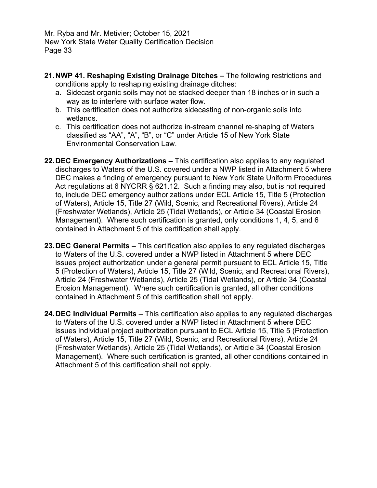- **21. NWP 41. Reshaping Existing Drainage Ditches** The following restrictions and conditions apply to reshaping existing drainage ditches:
	- a. Sidecast organic soils may not be stacked deeper than 18 inches or in such a way as to interfere with surface water flow.
	- b. This certification does not authorize sidecasting of non-organic soils into wetlands.
	- c. This certification does not authorize in-stream channel re-shaping of Waters classified as "AA", "A", "B", or "C" under Article 15 of New York State Environmental Conservation Law.
- **22. DEC Emergency Authorizations** This certification also applies to any regulated discharges to Waters of the U.S. covered under a NWP listed in Attachment 5 where DEC makes a finding of emergency pursuant to New York State Uniform Procedures Act regulations at 6 NYCRR § 621.12. Such a finding may also, but is not required to, include DEC emergency authorizations under ECL Article 15, Title 5 (Protection of Waters), Article 15, Title 27 (Wild, Scenic, and Recreational Rivers), Article 24 (Freshwater Wetlands), Article 25 (Tidal Wetlands), or Article 34 (Coastal Erosion Management). Where such certification is granted, only conditions 1, 4, 5, and 6 contained in Attachment 5 of this certification shall apply.
- **23. DEC General Permits –** This certification also applies to any regulated discharges to Waters of the U.S. covered under a NWP listed in Attachment 5 where DEC issues project authorization under a general permit pursuant to ECL Article 15, Title 5 (Protection of Waters), Article 15, Title 27 (Wild, Scenic, and Recreational Rivers), Article 24 (Freshwater Wetlands), Article 25 (Tidal Wetlands), or Article 34 (Coastal Erosion Management). Where such certification is granted, all other conditions contained in Attachment 5 of this certification shall not apply.
- **24. DEC Individual Permits** This certification also applies to any regulated discharges to Waters of the U.S. covered under a NWP listed in Attachment 5 where DEC issues individual project authorization pursuant to ECL Article 15, Title 5 (Protection of Waters), Article 15, Title 27 (Wild, Scenic, and Recreational Rivers), Article 24 (Freshwater Wetlands), Article 25 (Tidal Wetlands), or Article 34 (Coastal Erosion Management). Where such certification is granted, all other conditions contained in Attachment 5 of this certification shall not apply.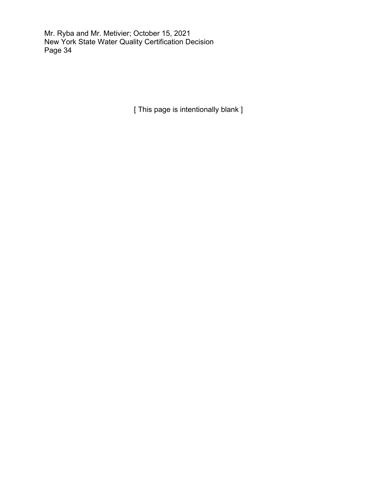[ This page is intentionally blank ]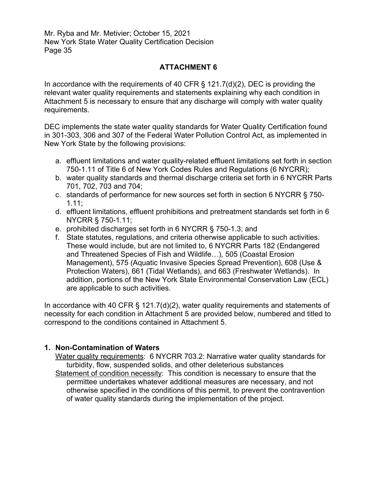## **ATTACHMENT 6**

In accordance with the requirements of 40 CFR  $\S$  121.7(d)(2), DEC is providing the relevant water quality requirements and statements explaining why each condition in Attachment 5 is necessary to ensure that any discharge will comply with water quality requirements.

DEC implements the state water quality standards for Water Quality Certification found in 301-303, 306 and 307 of the Federal Water Pollution Control Act, as implemented in New York State by the following provisions:

- a. effluent limitations and water quality-related effluent limitations set forth in section 750-1.11 of Title 6 of New York Codes Rules and Regulations (6 NYCRR);
- b. water quality standards and thermal discharge criteria set forth in 6 NYCRR Parts 701, 702, 703 and 704;
- c. standards of performance for new sources set forth in section 6 NYCRR § 750- 1.11;
- d. effluent limitations, effluent prohibitions and pretreatment standards set forth in 6 NYCRR § 750-1.11;
- e. prohibited discharges set forth in 6 NYCRR § 750-1.3; and
- f. State statutes, regulations, and criteria otherwise applicable to such activities. These would include, but are not limited to, 6 NYCRR Parts 182 (Endangered and Threatened Species of Fish and Wildlife…), 505 (Coastal Erosion Management), 575 (Aquatic Invasive Species Spread Prevention), 608 (Use & Protection Waters), 661 (Tidal Wetlands), and 663 (Freshwater Wetlands). In addition, portions of the New York State Environmental Conservation Law (ECL) are applicable to such activities.

In accordance with 40 CFR § 121.7(d)(2), water quality requirements and statements of necessity for each condition in Attachment 5 are provided below, numbered and titled to correspond to the conditions contained in Attachment 5.

### **1. Non-Contamination of Waters**

Water quality requirements: 6 NYCRR 703.2: Narrative water quality standards for turbidity, flow, suspended solids, and other deleterious substances Statement of condition necessity: This condition is necessary to ensure that the

permittee undertakes whatever additional measures are necessary, and not otherwise specified in the conditions of this permit, to prevent the contravention of water quality standards during the implementation of the project.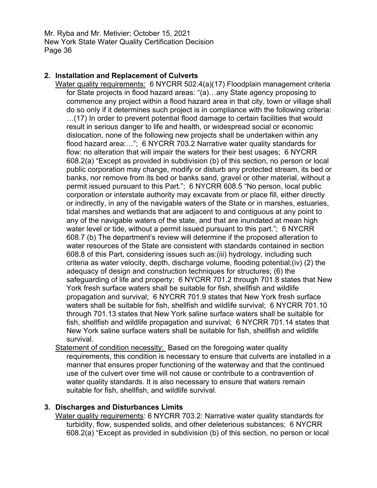## **2. Installation and Replacement of Culverts**

Water quality requirements: 6 NYCRR 502.4(a)(17) Floodplain management criteria for State projects in flood hazard areas: "(a)…any State agency proposing to commence any project within a flood hazard area in that city, town or village shall do so only if it determines such project is in compliance with the following criteria: …(17) In order to prevent potential flood damage to certain facilities that would result in serious danger to life and health, or widespread social or economic dislocation, none of the following new projects shall be undertaken within any flood hazard area:…"; 6 NYCRR 703.2 Narrative water quality standards for flow: no alteration that will impair the waters for their best usages; 6 NYCRR 608.2(a) "Except as provided in subdivision (b) of this section, no person or local public corporation may change, modify or disturb any protected stream, its bed or banks, nor remove from its bed or banks sand, gravel or other material, without a permit issued pursuant to this Part."; 6 NYCRR 608.5 "No person, local public corporation or interstate authority may excavate from or place fill, either directly or indirectly, in any of the navigable waters of the State or in marshes, estuaries, tidal marshes and wetlands that are adjacent to and contiguous at any point to any of the navigable waters of the state, and that are inundated at mean high water level or tide, without a permit issued pursuant to this part."; 6 NYCRR 608.7 (b) The department's review will determine if the proposed alteration to water resources of the State are consistent with standards contained in section 608.8 of this Part, considering issues such as:(iii) hydrology, including such criteria as water velocity, depth, discharge volume, flooding potential;(iv) (2) the adequacy of design and construction techniques for structures; (6) the safeguarding of life and property; 6 NYCRR 701.2 through 701.8 states that New York fresh surface waters shall be suitable for fish, shellfish and wildlife propagation and survival; 6 NYCRR 701.9 states that New York fresh surface waters shall be suitable for fish, shellfish and wildlife survival; 6 NYCRR 701.10 through 701.13 states that New York saline surface waters shall be suitable for fish, shellfish and wildlife propagation and survival; 6 NYCRR 701.14 states that New York saline surface waters shall be suitable for fish, shellfish and wildlife survival.

Statement of condition necessity: Based on the foregoing water quality requirements, this condition is necessary to ensure that culverts are installed in a manner that ensures proper functioning of the waterway and that the continued use of the culvert over time will not cause or contribute to a contravention of water quality standards. It is also necessary to ensure that waters remain suitable for fish, shellfish, and wildlife survival.

### **3. Discharges and Disturbances Limits**

Water quality requirements: 6 NYCRR 703.2: Narrative water quality standards for turbidity, flow, suspended solids, and other deleterious substances; 6 NYCRR 608.2(a) "Except as provided in subdivision (b) of this section, no person or local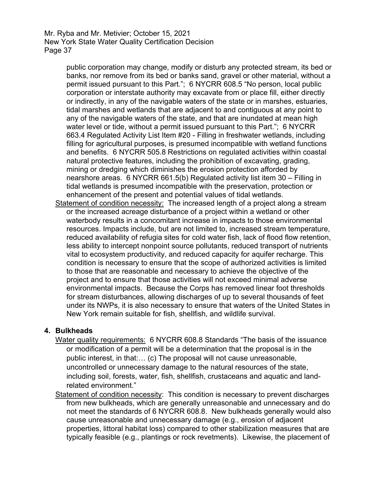> public corporation may change, modify or disturb any protected stream, its bed or banks, nor remove from its bed or banks sand, gravel or other material, without a permit issued pursuant to this Part."; 6 NYCRR 608.5 "No person, local public corporation or interstate authority may excavate from or place fill, either directly or indirectly, in any of the navigable waters of the state or in marshes, estuaries, tidal marshes and wetlands that are adjacent to and contiguous at any point to any of the navigable waters of the state, and that are inundated at mean high water level or tide, without a permit issued pursuant to this Part."; 6 NYCRR 663.4 Regulated Activity List Item #20 - Filling in freshwater wetlands, including filling for agricultural purposes, is presumed incompatible with wetland functions and benefits. 6 NYCRR 505.8 Restrictions on regulated activities within coastal natural protective features, including the prohibition of excavating, grading, mining or dredging which diminishes the erosion protection afforded by nearshore areas. 6 NYCRR 661.5(b) Regulated activity list item 30 – Filling in tidal wetlands is presumed incompatible with the preservation, protection or enhancement of the present and potential values of tidal wetlands.

Statement of condition necessity: The increased length of a project along a stream or the increased acreage disturbance of a project within a wetland or other waterbody results in a concomitant increase in impacts to those environmental resources. Impacts include, but are not limited to, increased stream temperature, reduced availability of refugia sites for cold water fish, lack of flood flow retention, less ability to intercept nonpoint source pollutants, reduced transport of nutrients vital to ecosystem productivity, and reduced capacity for aquifer recharge. This condition is necessary to ensure that the scope of authorized activities is limited to those that are reasonable and necessary to achieve the objective of the project and to ensure that those activities will not exceed minimal adverse environmental impacts. Because the Corps has removed linear foot thresholds for stream disturbances, allowing discharges of up to several thousands of feet under its NWPs, it is also necessary to ensure that waters of the United States in New York remain suitable for fish, shellfish, and wildlife survival.

### **4. Bulkheads**

- Water quality requirements: 6 NYCRR 608.8 Standards "The basis of the issuance or modification of a permit will be a determination that the proposal is in the public interest, in that:… (c) The proposal will not cause unreasonable, uncontrolled or unnecessary damage to the natural resources of the state, including soil, forests, water, fish, shellfish, crustaceans and aquatic and landrelated environment."
- Statement of condition necessity: This condition is necessary to prevent discharges from new bulkheads, which are generally unreasonable and unnecessary and do not meet the standards of 6 NYCRR 608.8. New bulkheads generally would also cause unreasonable and unnecessary damage (e.g., erosion of adjacent properties, littoral habitat loss) compared to other stabilization measures that are typically feasible (e.g., plantings or rock revetments). Likewise, the placement of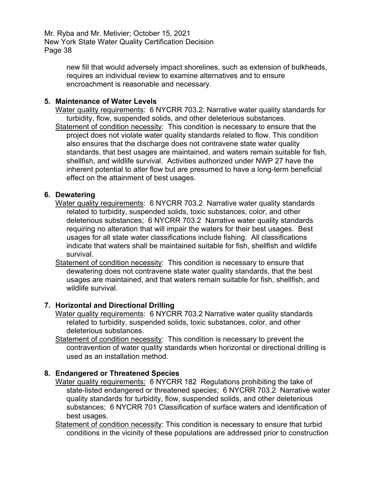> new fill that would adversely impact shorelines, such as extension of bulkheads, requires an individual review to examine alternatives and to ensure encroachment is reasonable and necessary.

### **5. Maintenance of Water Levels**

Water quality requirements: 6 NYCRR 703.2: Narrative water quality standards for turbidity, flow, suspended solids, and other deleterious substances.

Statement of condition necessity: This condition is necessary to ensure that the project does not violate water quality standards related to flow. This condition also ensures that the discharge does not contravene state water quality standards, that best usages are maintained, and waters remain suitable for fish, shellfish, and wildlife survival. Activities authorized under NWP 27 have the inherent potential to alter flow but are presumed to have a long-term beneficial effect on the attainment of best usages.

### **6. Dewatering**

- Water quality requirements: 6 NYCRR 703.2 Narrative water quality standards related to turbidity, suspended solids, toxic substances, color, and other deleterious substances; 6 NYCRR 703.2 Narrative water quality standards requiring no alteration that will impair the waters for their best usages. Best usages for all state water classifications include fishing. All classifications indicate that waters shall be maintained suitable for fish, shellfish and wildlife survival.
- Statement of condition necessity: This condition is necessary to ensure that dewatering does not contravene state water quality standards, that the best usages are maintained, and that waters remain suitable for fish, shellfish, and wildlife survival.

## **7. Horizontal and Directional Drilling**

- Water quality requirements: 6 NYCRR 703.2 Narrative water quality standards related to turbidity, suspended solids, toxic substances, color, and other deleterious substances.
- Statement of condition necessity: This condition is necessary to prevent the contravention of water quality standards when horizontal or directional drilling is used as an installation method.

## **8. Endangered or Threatened Species**

- Water quality requirements: 6 NYCRR 182 Regulations prohibiting the take of state-listed endangered or threatened species; 6 NYCRR 703.2 Narrative water quality standards for turbidity, flow, suspended solids, and other deleterious substances; 6 NYCRR 701 Classification of surface waters and identification of best usages.
- Statement of condition necessity: This condition is necessary to ensure that turbid conditions in the vicinity of these populations are addressed prior to construction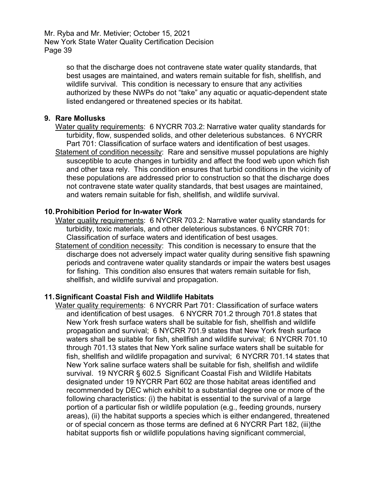> so that the discharge does not contravene state water quality standards, that best usages are maintained, and waters remain suitable for fish, shellfish, and wildlife survival.This condition is necessary to ensure that any activities authorized by these NWPs do not "take" any aquatic or aquatic-dependent state listed endangered or threatened species or its habitat.

### **9. Rare Mollusks**

Water quality requirements: 6 NYCRR 703.2: Narrative water quality standards for turbidity, flow, suspended solids, and other deleterious substances. 6 NYCRR Part 701: Classification of surface waters and identification of best usages.

Statement of condition necessity: Rare and sensitive mussel populations are highly susceptible to acute changes in turbidity and affect the food web upon which fish and other taxa rely. This condition ensures that turbid conditions in the vicinity of these populations are addressed prior to construction so that the discharge does not contravene state water quality standards, that best usages are maintained, and waters remain suitable for fish, shellfish, and wildlife survival.

### **10. Prohibition Period for In-water Work**

Water quality requirements: 6 NYCRR 703.2: Narrative water quality standards for turbidity, toxic materials, and other deleterious substances. 6 NYCRR 701: Classification of surface waters and identification of best usages.

Statement of condition necessity: This condition is necessary to ensure that the discharge does not adversely impact water quality during sensitive fish spawning periods and contravene water quality standards or impair the waters best usages for fishing. This condition also ensures that waters remain suitable for fish, shellfish, and wildlife survival and propagation.

### **11. Significant Coastal Fish and Wildlife Habitats**

Water quality requirements: 6 NYCRR Part 701: Classification of surface waters and identification of best usages. 6 NYCRR 701.2 through 701.8 states that New York fresh surface waters shall be suitable for fish, shellfish and wildlife propagation and survival; 6 NYCRR 701.9 states that New York fresh surface waters shall be suitable for fish, shellfish and wildlife survival; 6 NYCRR 701.10 through 701.13 states that New York saline surface waters shall be suitable for fish, shellfish and wildlife propagation and survival; 6 NYCRR 701.14 states that New York saline surface waters shall be suitable for fish, shellfish and wildlife survival. 19 NYCRR § 602.5 Significant Coastal Fish and Wildlife Habitats designated under 19 NYCRR Part 602 are those habitat areas identified and recommended by DEC which exhibit to a substantial degree one or more of the following characteristics: (i) the habitat is essential to the survival of a large portion of a particular fish or wildlife population (e.g., feeding grounds, nursery areas), (ii) the habitat supports a species which is either endangered, threatened or of special concern as those terms are defined at 6 NYCRR Part 182, (iii)the habitat supports fish or wildlife populations having significant commercial,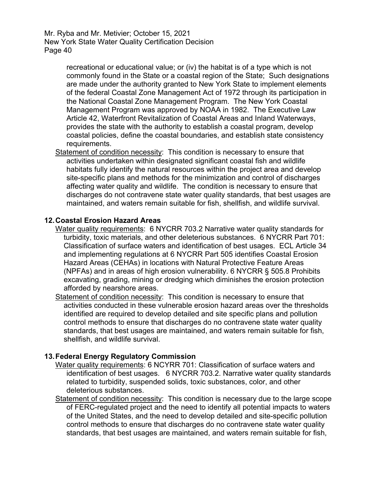> recreational or educational value; or (iv) the habitat is of a type which is not commonly found in the State or a coastal region of the State; Such designations are made under the authority granted to New York State to implement elements of the federal Coastal Zone Management Act of 1972 through its participation in the National Coastal Zone Management Program. The New York Coastal Management Program was approved by NOAA in 1982. The Executive Law Article 42, Waterfront Revitalization of Coastal Areas and Inland Waterways, provides the state with the authority to establish a coastal program, develop coastal policies, define the coastal boundaries, and establish state consistency requirements.

Statement of condition necessity: This condition is necessary to ensure that activities undertaken within designated significant coastal fish and wildlife habitats fully identify the natural resources within the project area and develop site-specific plans and methods for the minimization and control of discharges affecting water quality and wildlife. The condition is necessary to ensure that discharges do not contravene state water quality standards, that best usages are maintained, and waters remain suitable for fish, shellfish, and wildlife survival.

### **12. Coastal Erosion Hazard Areas**

- Water quality requirements: 6 NYCRR 703.2 Narrative water quality standards for turbidity, toxic materials, and other deleterious substances. 6 NYCRR Part 701: Classification of surface waters and identification of best usages. ECL Article 34 and implementing regulations at 6 NYCRR Part 505 identifies Coastal Erosion Hazard Areas (CEHAs) in locations with Natural Protective Feature Areas (NPFAs) and in areas of high erosion vulnerability. 6 NYCRR § 505.8 Prohibits excavating, grading, mining or dredging which diminishes the erosion protection afforded by nearshore areas.
- Statement of condition necessity: This condition is necessary to ensure that activities conducted in these vulnerable erosion hazard areas over the thresholds identified are required to develop detailed and site specific plans and pollution control methods to ensure that discharges do no contravene state water quality standards, that best usages are maintained, and waters remain suitable for fish, shellfish, and wildlife survival.

### **13. Federal Energy Regulatory Commission**

- Water quality requirements: 6 NCYRR 701: Classification of surface waters and identification of best usages. 6 NYCRR 703.2. Narrative water quality standards related to turbidity, suspended solids, toxic substances, color, and other deleterious substances.
- Statement of condition necessity: This condition is necessary due to the large scope of FERC-regulated project and the need to identify all potential impacts to waters of the United States, and the need to develop detailed and site-specific pollution control methods to ensure that discharges do no contravene state water quality standards, that best usages are maintained, and waters remain suitable for fish,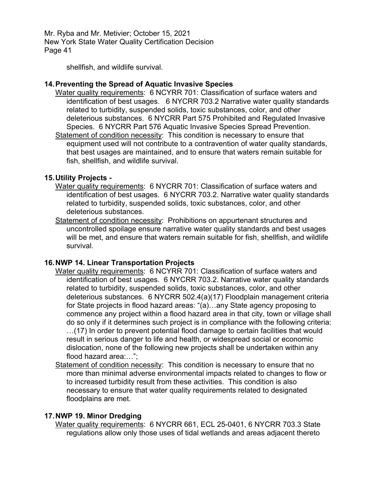shellfish, and wildlife survival.

### **14. Preventing the Spread of Aquatic Invasive Species**

- Water quality requirements: 6 NCYRR 701: Classification of surface waters and identification of best usages. 6 NYCRR 703.2 Narrative water quality standards related to turbidity, suspended solids, toxic substances, color, and other deleterious substances. 6 NYCRR Part 575 Prohibited and Regulated Invasive Species. 6 NYCRR Part 576 Aquatic Invasive Species Spread Prevention.
- Statement of condition necessity: This condition is necessary to ensure that equipment used will not contribute to a contravention of water quality standards, that best usages are maintained, and to ensure that waters remain suitable for fish, shellfish, and wildlife survival.

### **15. Utility Projects -**

- Water quality requirements: 6 NYCRR 701: Classification of surface waters and identification of best usages. 6 NYCRR 703.2. Narrative water quality standards related to turbidity, suspended solids, toxic substances, color, and other deleterious substances.
- Statement of condition necessity: Prohibitions on appurtenant structures and uncontrolled spoilage ensure narrative water quality standards and best usages will be met, and ensure that waters remain suitable for fish, shellfish, and wildlife survival.

## **16. NWP 14. Linear Transportation Projects**

- Water quality requirements: 6 NCYRR 701: Classification of surface waters and identification of best usages. 6 NYCRR 703.2. Narrative water quality standards related to turbidity, suspended solids, toxic substances, color, and other deleterious substances. 6 NYCRR 502.4(a)(17) Floodplain management criteria for State projects in flood hazard areas: "(a)…any State agency proposing to commence any project within a flood hazard area in that city, town or village shall do so only if it determines such project is in compliance with the following criteria: …(17) In order to prevent potential flood damage to certain facilities that would result in serious danger to life and health, or widespread social or economic dislocation, none of the following new projects shall be undertaken within any flood hazard area:…";
- Statement of condition necessity: This condition is necessary to ensure that no more than minimal adverse environmental impacts related to changes to flow or to increased turbidity result from these activities. This condition is also necessary to ensure that water quality requirements related to designated floodplains are met.

## **17. NWP 19. Minor Dredging**

Water quality requirements: 6 NYCRR 661, ECL 25-0401, 6 NYCRR 703.3 State regulations allow only those uses of tidal wetlands and areas adjacent thereto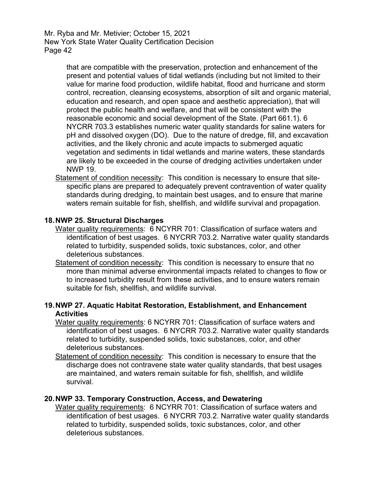> that are compatible with the preservation, protection and enhancement of the present and potential values of tidal wetlands (including but not limited to their value for marine food production, wildlife habitat, flood and hurricane and storm control, recreation, cleansing ecosystems, absorption of silt and organic material, education and research, and open space and aesthetic appreciation), that will protect the public health and welfare, and that will be consistent with the reasonable economic and social development of the State. (Part 661.1). 6 NYCRR 703.3 establishes numeric water quality standards for saline waters for pH and dissolved oxygen (DO). Due to the nature of dredge, fill, and excavation activities, and the likely chronic and acute impacts to submerged aquatic vegetation and sediments in tidal wetlands and marine waters, these standards are likely to be exceeded in the course of dredging activities undertaken under NWP 19.

Statement of condition necessity: This condition is necessary to ensure that sitespecific plans are prepared to adequately prevent contravention of water quality standards during dredging, to maintain best usages, and to ensure that marine waters remain suitable for fish, shellfish, and wildlife survival and propagation.

### **18. NWP 25. Structural Discharges**

- Water quality requirements: 6 NCYRR 701: Classification of surface waters and identification of best usages. 6 NYCRR 703.2. Narrative water quality standards related to turbidity, suspended solids, toxic substances, color, and other deleterious substances.
- Statement of condition necessity: This condition is necessary to ensure that no more than minimal adverse environmental impacts related to changes to flow or to increased turbidity result from these activities, and to ensure waters remain suitable for fish, shellfish, and wildlife survival.

### **19. NWP 27. Aquatic Habitat Restoration, Establishment, and Enhancement Activities**

- Water quality requirements: 6 NCYRR 701: Classification of surface waters and identification of best usages. 6 NYCRR 703.2. Narrative water quality standards related to turbidity, suspended solids, toxic substances, color, and other deleterious substances.
- Statement of condition necessity: This condition is necessary to ensure that the discharge does not contravene state water quality standards, that best usages are maintained, and waters remain suitable for fish, shellfish, and wildlife survival.

### **20. NWP 33. Temporary Construction, Access, and Dewatering**

Water quality requirements: 6 NCYRR 701: Classification of surface waters and identification of best usages. 6 NYCRR 703.2. Narrative water quality standards related to turbidity, suspended solids, toxic substances, color, and other deleterious substances.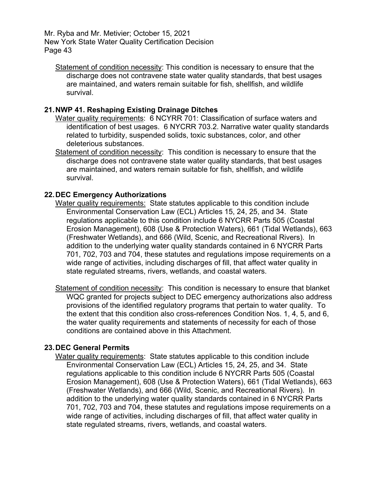Statement of condition necessity: This condition is necessary to ensure that the discharge does not contravene state water quality standards, that best usages are maintained, and waters remain suitable for fish, shellfish, and wildlife survival.

### **21. NWP 41. Reshaping Existing Drainage Ditches**

- Water quality requirements: 6 NCYRR 701: Classification of surface waters and identification of best usages. 6 NYCRR 703.2. Narrative water quality standards related to turbidity, suspended solids, toxic substances, color, and other deleterious substances.
- Statement of condition necessity: This condition is necessary to ensure that the discharge does not contravene state water quality standards, that best usages are maintained, and waters remain suitable for fish, shellfish, and wildlife survival.

### **22. DEC Emergency Authorizations**

- Water quality requirements: State statutes applicable to this condition include Environmental Conservation Law (ECL) Articles 15, 24, 25, and 34. State regulations applicable to this condition include 6 NYCRR Parts 505 (Coastal Erosion Management), 608 (Use & Protection Waters), 661 (Tidal Wetlands), 663 (Freshwater Wetlands), and 666 (Wild, Scenic, and Recreational Rivers). In addition to the underlying water quality standards contained in 6 NYCRR Parts 701, 702, 703 and 704, these statutes and regulations impose requirements on a wide range of activities, including discharges of fill, that affect water quality in state regulated streams, rivers, wetlands, and coastal waters.
- Statement of condition necessity: This condition is necessary to ensure that blanket WQC granted for projects subject to DEC emergency authorizations also address provisions of the identified regulatory programs that pertain to water quality. To the extent that this condition also cross-references Condition Nos. 1, 4, 5, and 6, the water quality requirements and statements of necessity for each of those conditions are contained above in this Attachment.

#### **23. DEC General Permits**

Water quality requirements: State statutes applicable to this condition include Environmental Conservation Law (ECL) Articles 15, 24, 25, and 34. State regulations applicable to this condition include 6 NYCRR Parts 505 (Coastal Erosion Management), 608 (Use & Protection Waters), 661 (Tidal Wetlands), 663 (Freshwater Wetlands), and 666 (Wild, Scenic, and Recreational Rivers). In addition to the underlying water quality standards contained in 6 NYCRR Parts 701, 702, 703 and 704, these statutes and regulations impose requirements on a wide range of activities, including discharges of fill, that affect water quality in state regulated streams, rivers, wetlands, and coastal waters.